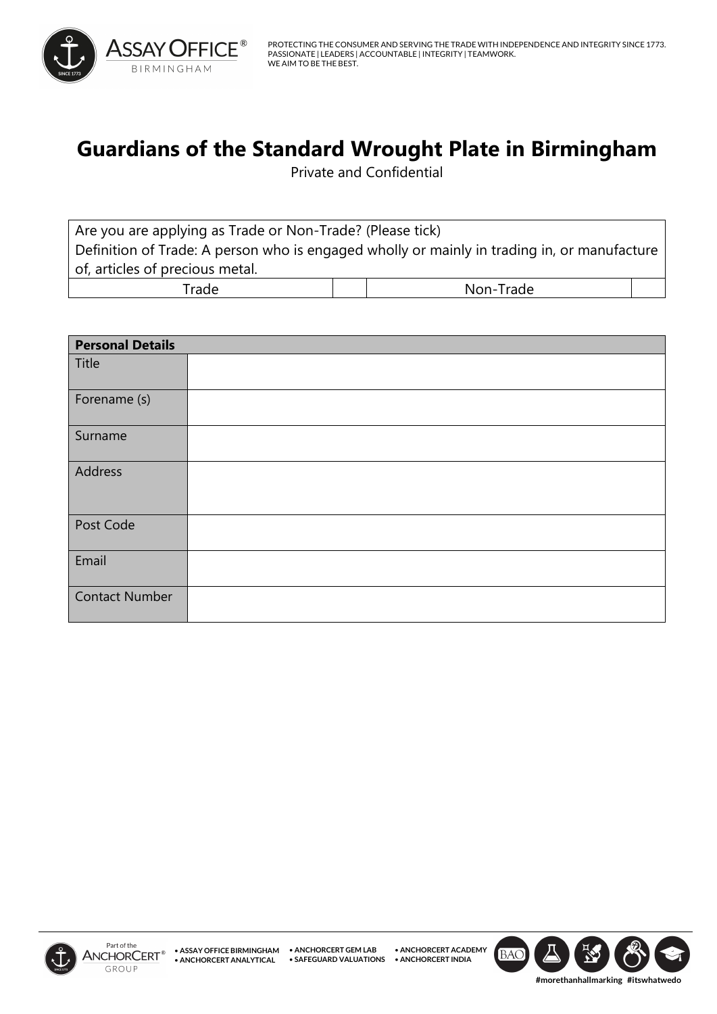

## **Guardians of the Standard Wrought Plate in Birmingham**

Private and Confidential

Are you are applying as Trade or Non-Trade? (Please tick) Definition of Trade: A person who is engaged wholly or mainly in trading in, or manufacture of, articles of precious metal. Trade and  $\vert$  | | Non-Trade

| <b>Personal Details</b> |  |
|-------------------------|--|
| Title                   |  |
| Forename (s)            |  |
| Surname                 |  |
| Address                 |  |
| Post Code               |  |
| Email                   |  |
| <b>Contact Number</b>   |  |



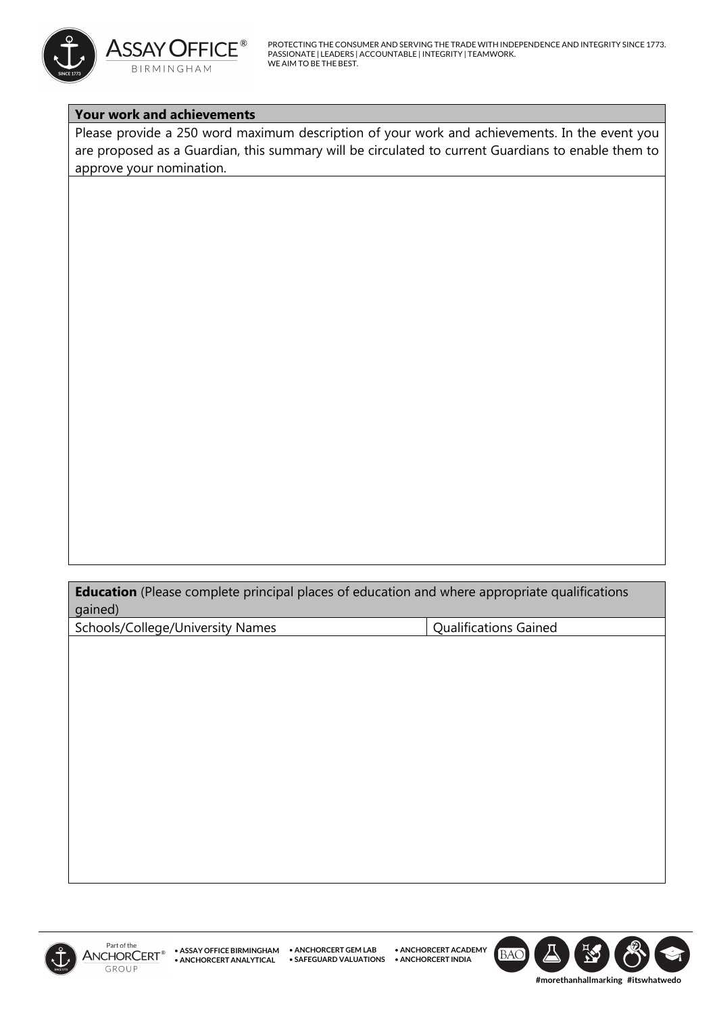

PROTECTING THE CONSUMER AND SERVING THE TRADE WITH INDEPENDENCE AND INTEGRITY SINCE 1773. PASSIONATE | LEADERS | ACCOUNTABLE | INTEGRITY | TEAMWORK. WE AIM TO BE THE BEST.

## **Your work and achievements**

Please provide a 250 word maximum description of your work and achievements. In the event you are proposed as a Guardian, this summary will be circulated to current Guardians to enable them to approve your nomination.

**Education** (Please complete principal places of education and where appropriate qualifications gained)

Schools/College/University Names | Qualifications Gained



**• SAFEGUARD VALUATIONS • ANCHORCERT INDIA • ANCHORCERT ACADEMY**

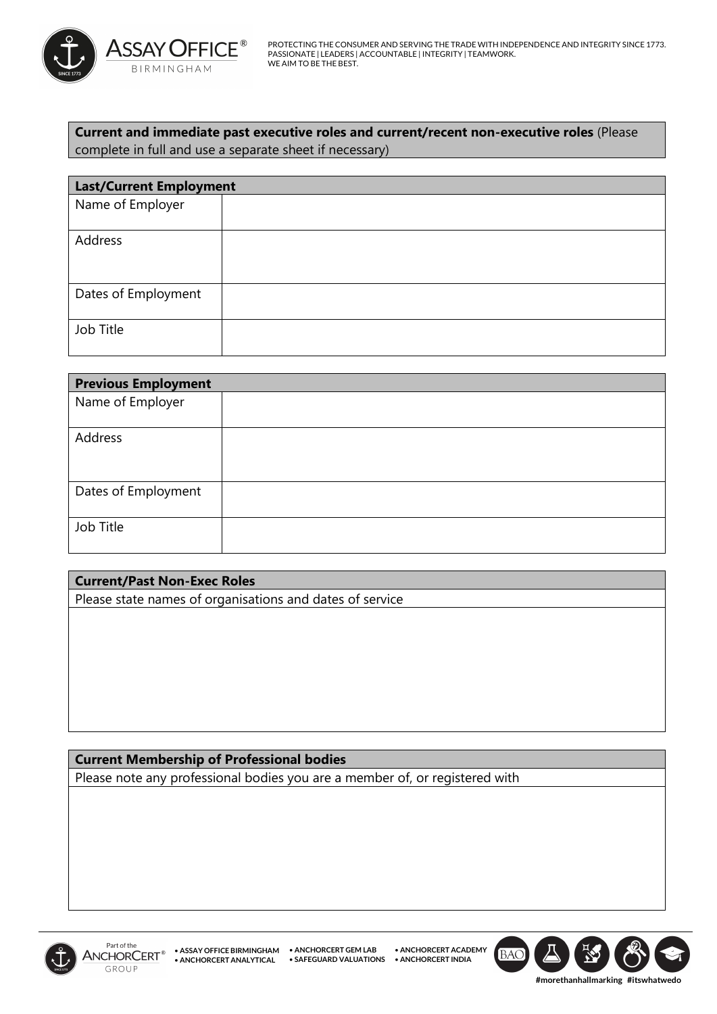

**Current and immediate past executive roles and current/recent non-executive roles** (Please complete in full and use a separate sheet if necessary)

| <b>Last/Current Employment</b> |  |  |
|--------------------------------|--|--|
| Name of Employer               |  |  |
|                                |  |  |
| Address                        |  |  |
|                                |  |  |
|                                |  |  |
| Dates of Employment            |  |  |
|                                |  |  |
| Job Title                      |  |  |
|                                |  |  |

| <b>Previous Employment</b> |  |  |
|----------------------------|--|--|
| Name of Employer           |  |  |
| Address                    |  |  |
| Dates of Employment        |  |  |
| Job Title                  |  |  |

| <b>Current/Past Non-Exec Roles</b>                       |  |  |
|----------------------------------------------------------|--|--|
| Please state names of organisations and dates of service |  |  |
|                                                          |  |  |
|                                                          |  |  |
|                                                          |  |  |

**Current Membership of Professional bodies** Please note any professional bodies you are a member of, or registered with





**#morethanhallmarking #itswhatwedo**